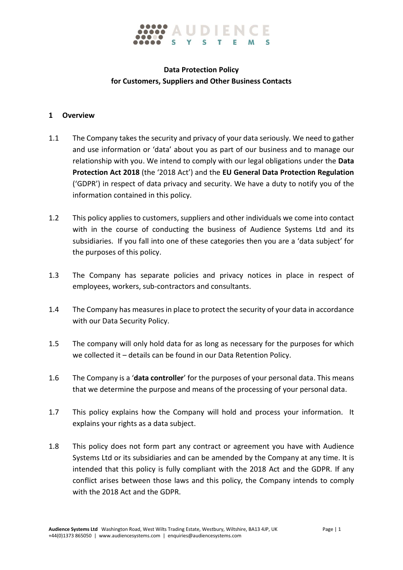

## **Data Protection Policy for Customers, Suppliers and Other Business Contacts**

#### **1 Overview**

- 1.1 The Company takes the security and privacy of your data seriously. We need to gather and use information or 'data' about you as part of our business and to manage our relationship with you. We intend to comply with our legal obligations under the **Data Protection Act 2018** (the '2018 Act') and the **EU General Data Protection Regulation** ('GDPR') in respect of data privacy and security. We have a duty to notify you of the information contained in this policy.
- 1.2 This policy applies to customers, suppliers and other individuals we come into contact with in the course of conducting the business of Audience Systems Ltd and its subsidiaries. If you fall into one of these categories then you are a 'data subject' for the purposes of this policy.
- 1.3 The Company has separate policies and privacy notices in place in respect of employees, workers, sub-contractors and consultants.
- 1.4 The Company has measures in place to protect the security of your data in accordance with our Data Security Policy.
- 1.5 The company will only hold data for as long as necessary for the purposes for which we collected it – details can be found in our Data Retention Policy.
- 1.6 The Company is a '**data controller**' for the purposes of your personal data. This means that we determine the purpose and means of the processing of your personal data.
- 1.7 This policy explains how the Company will hold and process your information. It explains your rights as a data subject.
- 1.8 This policy does not form part any contract or agreement you have with Audience Systems Ltd or its subsidiaries and can be amended by the Company at any time. It is intended that this policy is fully compliant with the 2018 Act and the GDPR. If any conflict arises between those laws and this policy, the Company intends to comply with the 2018 Act and the GDPR.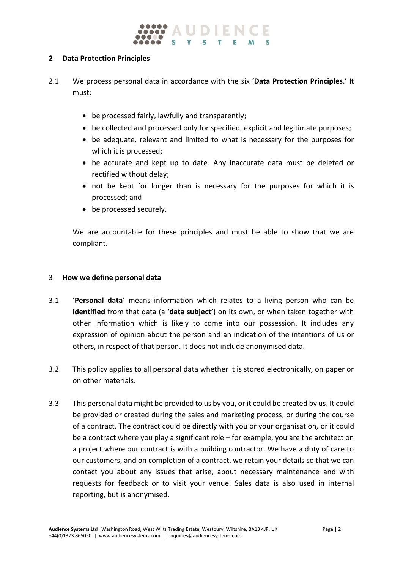#### **2 Data Protection Principles**

- 2.1 We process personal data in accordance with the six '**Data Protection Principles**.' It must:
	- be processed fairly, lawfully and transparently;
	- be collected and processed only for specified, explicit and legitimate purposes;
	- be adequate, relevant and limited to what is necessary for the purposes for which it is processed;
	- be accurate and kept up to date. Any inaccurate data must be deleted or rectified without delay;
	- not be kept for longer than is necessary for the purposes for which it is processed; and
	- be processed securely.

We are accountable for these principles and must be able to show that we are compliant.

#### 3 **How we define personal data**

- 3.1 '**Personal data**' means information which relates to a living person who can be **identified** from that data (a '**data subject**') on its own, or when taken together with other information which is likely to come into our possession. It includes any expression of opinion about the person and an indication of the intentions of us or others, in respect of that person. It does not include anonymised data.
- 3.2 This policy applies to all personal data whether it is stored electronically, on paper or on other materials.
- 3.3 This personal data might be provided to us by you, or it could be created by us. It could be provided or created during the sales and marketing process, or during the course of a contract. The contract could be directly with you or your organisation, or it could be a contract where you play a significant role – for example, you are the architect on a project where our contract is with a building contractor. We have a duty of care to our customers, and on completion of a contract, we retain your details so that we can contact you about any issues that arise, about necessary maintenance and with requests for feedback or to visit your venue. Sales data is also used in internal reporting, but is anonymised.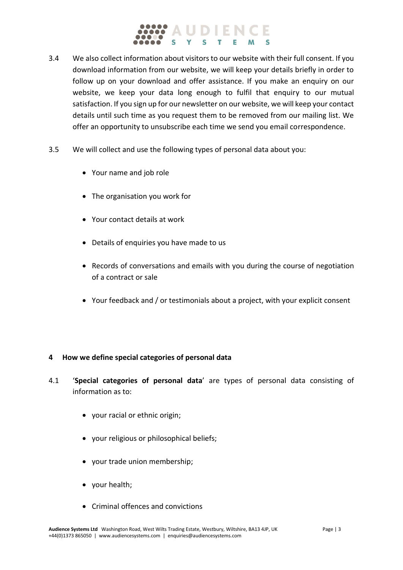# IDIENC

- 3.4 We also collect information about visitors to our website with their full consent. If you download information from our website, we will keep your details briefly in order to follow up on your download and offer assistance. If you make an enquiry on our website, we keep your data long enough to fulfil that enquiry to our mutual satisfaction. If you sign up for our newsletter on our website, we will keep your contact details until such time as you request them to be removed from our mailing list. We offer an opportunity to unsubscribe each time we send you email correspondence.
- 3.5 We will collect and use the following types of personal data about you:
	- Your name and job role
	- The organisation you work for
	- Your contact details at work
	- Details of enquiries you have made to us
	- Records of conversations and emails with you during the course of negotiation of a contract or sale
	- Your feedback and / or testimonials about a project, with your explicit consent

#### **4 How we define special categories of personal data**

- 4.1 '**Special categories of personal data**' are types of personal data consisting of information as to:
	- your racial or ethnic origin;
	- your religious or philosophical beliefs;
	- your trade union membership;
	- your health;
	- Criminal offences and convictions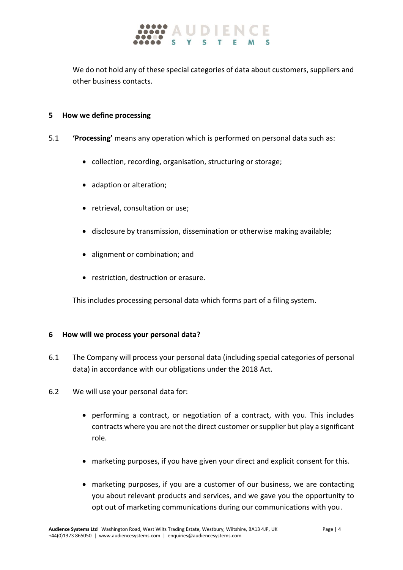

We do not hold any of these special categories of data about customers, suppliers and other business contacts.

#### **5 How we define processing**

- 5.1 **'Processing'** means any operation which is performed on personal data such as:
	- collection, recording, organisation, structuring or storage;
	- adaption or alteration;
	- retrieval, consultation or use;
	- disclosure by transmission, dissemination or otherwise making available;
	- alignment or combination; and
	- restriction, destruction or erasure.

This includes processing personal data which forms part of a filing system.

#### **6 How will we process your personal data?**

- 6.1 The Company will process your personal data (including special categories of personal data) in accordance with our obligations under the 2018 Act.
- 6.2 We will use your personal data for:
	- performing a contract, or negotiation of a contract, with you. This includes contracts where you are not the direct customer or supplier but play a significant role.
	- marketing purposes, if you have given your direct and explicit consent for this.
	- marketing purposes, if you are a customer of our business, we are contacting you about relevant products and services, and we gave you the opportunity to opt out of marketing communications during our communications with you.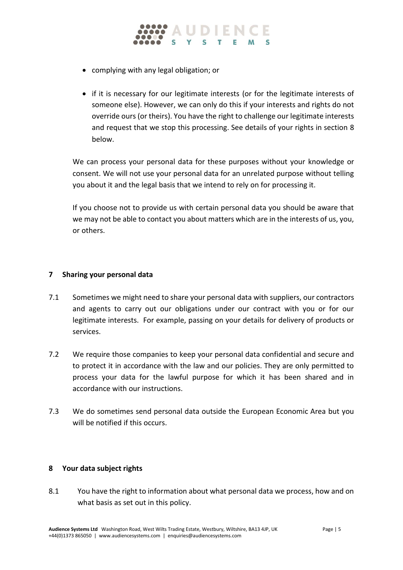

- complying with any legal obligation; or
- if it is necessary for our legitimate interests (or for the legitimate interests of someone else). However, we can only do this if your interests and rights do not override ours (or theirs). You have the right to challenge our legitimate interests and request that we stop this processing. See details of your rights in section 8 below.

We can process your personal data for these purposes without your knowledge or consent. We will not use your personal data for an unrelated purpose without telling you about it and the legal basis that we intend to rely on for processing it.

If you choose not to provide us with certain personal data you should be aware that we may not be able to contact you about matters which are in the interests of us, you, or others.

### **7 Sharing your personal data**

- 7.1 Sometimes we might need to share your personal data with suppliers, our contractors and agents to carry out our obligations under our contract with you or for our legitimate interests. For example, passing on your details for delivery of products or services.
- 7.2 We require those companies to keep your personal data confidential and secure and to protect it in accordance with the law and our policies. They are only permitted to process your data for the lawful purpose for which it has been shared and in accordance with our instructions.
- 7.3 We do sometimes send personal data outside the European Economic Area but you will be notified if this occurs.

#### **8 Your data subject rights**

8.1 You have the right to information about what personal data we process, how and on what basis as set out in this policy.